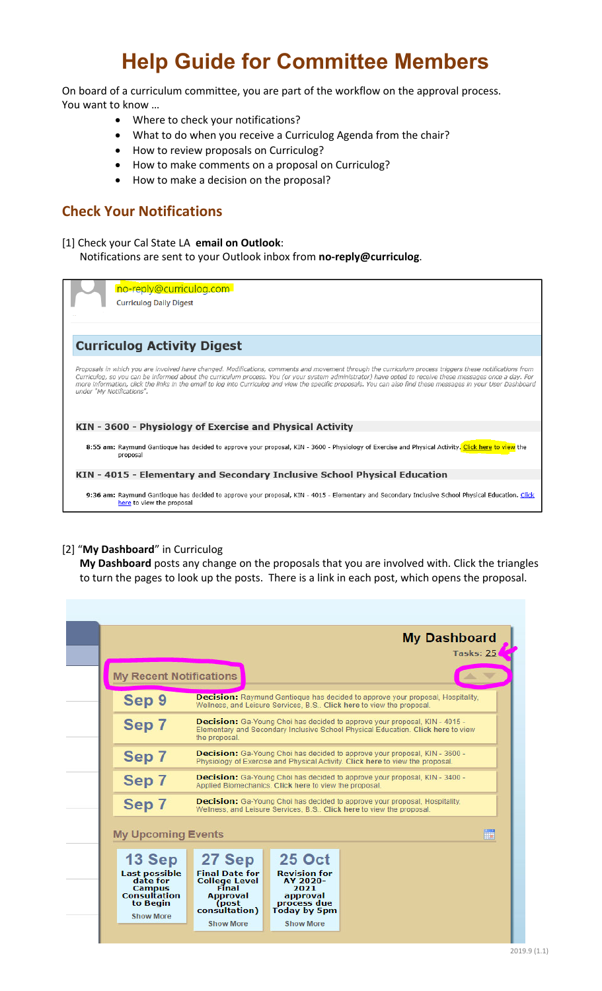# **Help Guide for Committee Members**

On board of a curriculum committee, you are part of the workflow on the approval process. You want to know …

- Where to check your notifications?
- What to do when you receive a Curriculog Agenda from the chair?
- How to review proposals on Curriculog?
- How to make comments on a proposal on Curriculog?
- How to make a decision on the proposal?

### **Check Your Notifications**

[1] Check your Cal State LA **email on Outlook**: Notifications are sent to your Outlook inbox from **no‐reply@curriculog**.

no-reply@curriculog.com

**Curriculog Daily Digest** 

**Curriculog Activity Digest** 

Proposals in which you are involved have changed. Modifications, comments and movement through the curriculum process triggers these notifications from Proposals in which you are involved have changed. Modifications, comments and movement through the curriculum process triggers these notifications from<br>Curriculog, so you can be informed about the curriculum process. You (

KIN - 3600 - Physiology of Exercise and Physical Activity

8:55 am: Raymund Gantioque has decided to approve your proposal, KIN - 3600 - Physiology of Exercise and Physical Activity. Click here to view the proposal

KIN - 4015 - Elementary and Secondary Inclusive School Physical Education

9:36 am: Raymund Gantioque has decided to approve your proposal, KIN - 4015 - Elementary and Secondary Inclusive School Physical Education. Click here to view the proposal

### [2] "**My Dashboard**" in Curriculog

**My Dashboard** posts any change on the proposals that you are involved with. Click the triangles to turn the pages to look up the posts. There is a link in each post, which opens the proposal.

|                                                                                      |                                                                                                                                             |                                                                                                                                                                       | <b>My Dashboard</b><br>Tasks: 25                                                                                                                                |  |
|--------------------------------------------------------------------------------------|---------------------------------------------------------------------------------------------------------------------------------------------|-----------------------------------------------------------------------------------------------------------------------------------------------------------------------|-----------------------------------------------------------------------------------------------------------------------------------------------------------------|--|
| <b>My Recent Notifications</b>                                                       |                                                                                                                                             |                                                                                                                                                                       |                                                                                                                                                                 |  |
| Sep 9                                                                                |                                                                                                                                             |                                                                                                                                                                       | <b>Decision:</b> Raymund Gantioque has decided to approve your proposal, Hospitality,<br>Wellness, and Leisure Services, B.S., Click here to view the proposal. |  |
| Sep 7                                                                                | the proposal.                                                                                                                               | <b>Decision:</b> Ga-Young Choi has decided to approve your proposal, KIN - 4015 -<br>Elementary and Secondary Inclusive School Physical Education. Click here to view |                                                                                                                                                                 |  |
| Sep 7                                                                                |                                                                                                                                             | <b>Decision:</b> Ga-Young Choi has decided to approve your proposal, KIN - 3600 -<br>Physiology of Exercise and Physical Activity. Click here to view the proposal.   |                                                                                                                                                                 |  |
| Sep 7                                                                                | <b>Decision:</b> Ga-Young Choi has decided to approve your proposal, KIN - 3400 -<br>Applied Biomechanics. Click here to view the proposal. |                                                                                                                                                                       |                                                                                                                                                                 |  |
| Sep 7                                                                                |                                                                                                                                             |                                                                                                                                                                       | <b>Decision:</b> Ga-Young Choi has decided to approve your proposal, Hospitality,<br>Wellness, and Leisure Services, B.S., Click here to view the proposal.     |  |
| <b>My Upcoming Events</b>                                                            |                                                                                                                                             |                                                                                                                                                                       |                                                                                                                                                                 |  |
| 13 Sep                                                                               | 27 Sep                                                                                                                                      | <b>25 Oct</b>                                                                                                                                                         |                                                                                                                                                                 |  |
| <b>Last possible</b><br>date for<br><b>Campus</b><br><b>Consultation</b><br>to Begin | <b>Final Date for</b><br><b>College Level</b><br>Final<br><b>Approval</b><br>(post<br>consultation)                                         | <b>Revision for</b><br>AY 2020-<br>2021<br>approval<br>process due<br><b>Today by 5pm</b>                                                                             |                                                                                                                                                                 |  |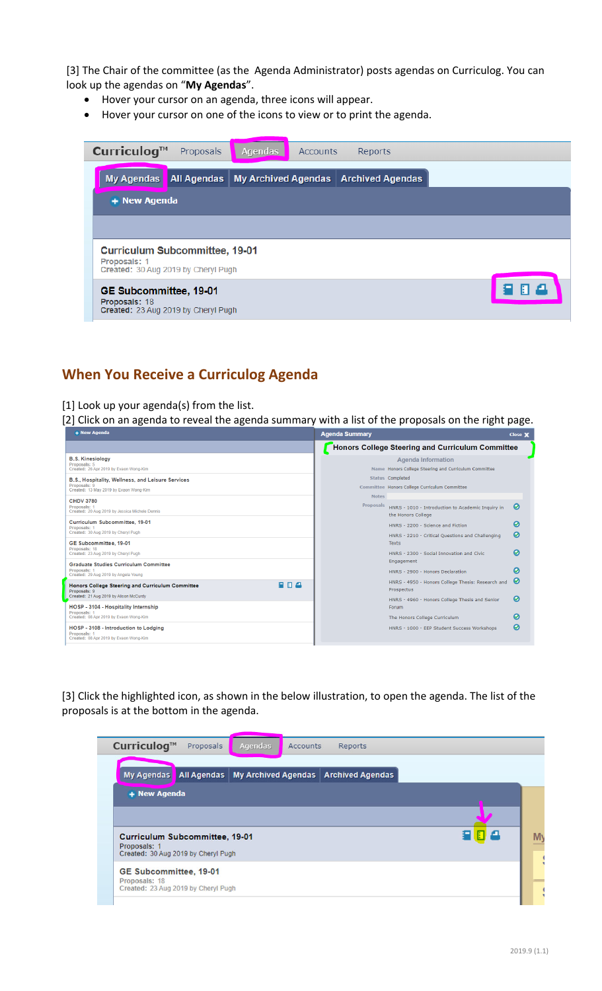[3] The Chair of the committee (as the Agenda Administrator) posts agendas on Curriculog. You can look up the agendas on "**My Agendas**".

- Hover your cursor on an agenda, three icons will appear.
- Hover your cursor on one of the icons to view or to print the agenda.



### **When You Receive a Curriculog Agenda**

[1] Look up your agenda(s) from the list.

[2] Click on an agenda to reveal the agenda summary with a list of the proposals on the right page.

|                                                                                                                  | Agenda Summary                                                                                                    | Close X |
|------------------------------------------------------------------------------------------------------------------|-------------------------------------------------------------------------------------------------------------------|---------|
|                                                                                                                  | Honors College Steering and Curriculum Committee                                                                  |         |
| <b>B.S. Kinesiology</b><br>Proposals: 5<br>Created: 26 Apr 2019 by Evaon Wong-Kim                                | <b>Agenda Information</b><br>Name Honors College Steering and Curriculum Committee                                |         |
| B.S., Hospitality, Wellness, and Leisure Services<br>Proposals: 9<br>Created: 13 May 2019 by Evaon Wong-Kim      | <b>Status Completed</b><br>Committee Honors College Curriculum Committee<br><b>Notes</b>                          |         |
| <b>CHDV 3780</b><br>Proposals: 1<br>Created: 20 Aug 2019 by Jessica Michele Dennis                               | Proposals<br>HNRS - 1010 - Introduction to Academic Inquiry in<br>the Honors College                              | ๏       |
| Curriculum Subcommittee, 19-01<br>Proposals:<br>Created: 30 Aug 2019 by Cheryl Pugh                              | HNRS - 2200 - Science and Fiction<br>HNRS - 2210 - Critical Questions and Challenging                             | ഩ<br>の  |
| GE Subcommittee, 19-01<br>Proposals: 18<br>Created: 23 Aug 2019 by Cheryl Pugh                                   | <b>Texts</b><br>HNRS - 2300 - Social Innovation and Civic                                                         | ൭       |
| <b>Graduate Studies Curriculum Committee</b><br>Proposals:<br>Created: 29 Aug 2019 by Angela Young               | Engagement<br>HNRS - 2900 - Honors Declaration                                                                    | മ       |
| 日本<br>Honors College Steering and Curriculum Committee<br>Proposals: 9<br>Created: 21 Aug 2019 by Alison McCurdy | HNRS - 4950 - Honors College Thesis: Research and<br>Prospectus<br>HNRS - 4960 - Honors College Thesis and Senior | Ø<br>0  |
| HOSP - 3104 - Hospitality Internship<br>Proposals: 1                                                             | Forum                                                                                                             |         |
| Created: 08 Apr 2019 by Evaon Wong-Kim                                                                           | The Honors College Curriculum                                                                                     | ໑       |
| HOSP - 3108 - Introduction to Lodaina<br>Proposals:<br>Created: 08 Apr 2019 by Evaon Wong-Kim                    | HNRS - 1000 - EEP Student Success Workshops                                                                       | の       |

[3] Click the highlighted icon, as shown in the below illustration, to open the agenda. The list of the proposals is at the bottom in the agenda.

| My Agendas                                                                                                             | <b>All Agendas</b> | <b>My Archived Agendas</b> | <b>Archived Agendas</b> |  |
|------------------------------------------------------------------------------------------------------------------------|--------------------|----------------------------|-------------------------|--|
| + New Agenda                                                                                                           |                    |                            |                         |  |
|                                                                                                                        |                    |                            |                         |  |
|                                                                                                                        |                    |                            |                         |  |
|                                                                                                                        |                    |                            |                         |  |
|                                                                                                                        |                    |                            |                         |  |
|                                                                                                                        |                    |                            |                         |  |
| <b>Curriculum Subcommittee, 19-01</b><br>Proposals: 1<br>Created: 30 Aug 2019 by Cheryl Pugh<br>GE Subcommittee, 19-01 |                    |                            |                         |  |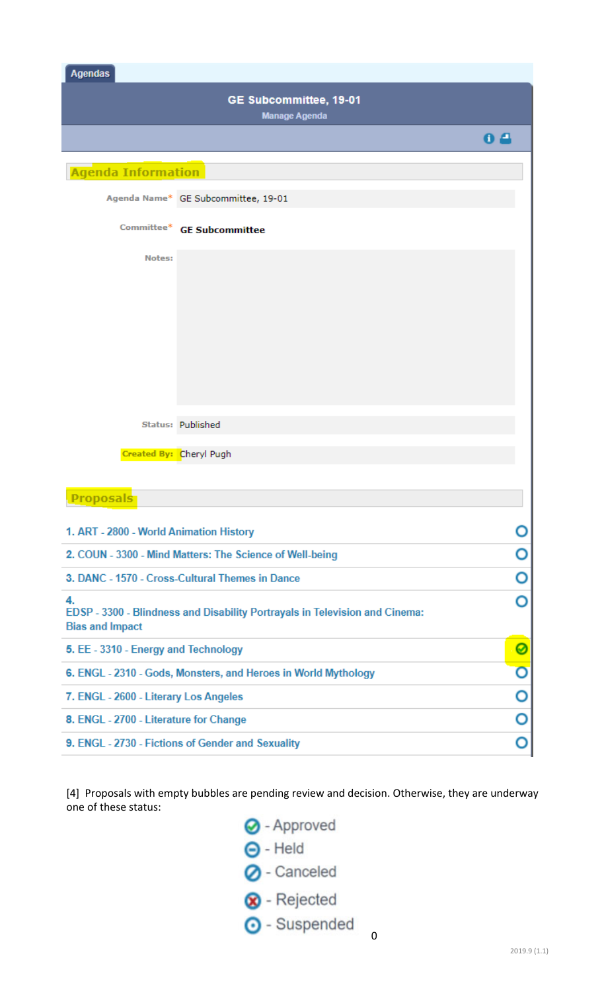| <b>Agendas</b>                                 |                                     |     |  |
|------------------------------------------------|-------------------------------------|-----|--|
| GE Subcommittee, 19-01<br><b>Manage Agenda</b> |                                     |     |  |
|                                                |                                     | 8 E |  |
| <b>Agenda Information</b>                      |                                     |     |  |
|                                                | Agenda Name* GE Subcommittee, 19-01 |     |  |

|               | Committee* GE Subcommittee |
|---------------|----------------------------|
| <b>Notes:</b> |                            |
|               |                            |
|               |                            |
|               |                            |
|               |                            |
|               |                            |
|               | Status: Published          |
|               | Created By: Cheryl Pugh    |

#### **Proposals** 1. ART - 2800 - World Animation History O O 2. COUN - 3300 - Mind Matters: The Science of Well-being O 3. DANC - 1570 - Cross-Cultural Themes in Dance O 4. EDSP - 3300 - Blindness and Disability Portrayals in Television and Cinema: **Bias and Impact** Ø 5. EE - 3310 - Energy and Technology  $\overline{\mathsf{o}}$ 6. ENGL - 2310 - Gods, Monsters, and Heroes in World Mythology O 7. ENGL - 2600 - Literary Los Angeles O 8. ENGL - 2700 - Literature for Change O 9. ENGL - 2730 - Fictions of Gender and Sexuality

[4] Proposals with empty bubbles are pending review and decision. Otherwise, they are underway one of these status:

> O - Approved  $\Theta$  - Held O - Canceled **8** - Rejected **O** - Suspended

0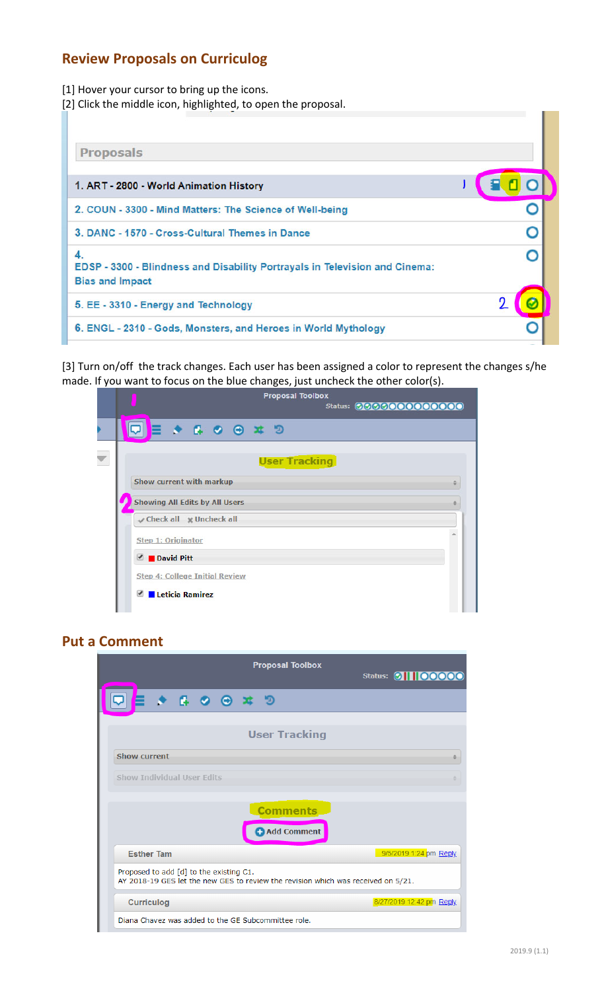## **Review Proposals on Curriculog**

[1] Hover your cursor to bring up the icons.

[2] Click the middle icon, highlighted, to open the proposal.

[3] Turn on/off the track changes. Each user has been assigned a color to represent the changes s/he made. If you want to focus on the blue changes, just uncheck the other color(s).

|                                                    | <b>Proposal Toolbox</b>                                                                                | Status: 0000000000000 |
|----------------------------------------------------|--------------------------------------------------------------------------------------------------------|-----------------------|
|                                                    | $\begin{array}{c} \n \n \nabla \cdot \mathbf{F} & \mathbf{F} & \mathbf{F} & \mathbf{F} \n \end{array}$ |                       |
|                                                    | <b>User Tracking</b>                                                                                   |                       |
| Show current with markup                           |                                                                                                        |                       |
|                                                    | <b>Showing All Edits by All Users</b>                                                                  |                       |
| Check all Muncheck all                             |                                                                                                        |                       |
| Step 1: Originator                                 |                                                                                                        |                       |
| David Pitt                                         |                                                                                                        |                       |
|                                                    | <b>Step 4: College Initial Review</b>                                                                  |                       |
| <b>Leticia Ramirez</b><br>$\overline{\mathcal{L}}$ |                                                                                                        |                       |

### **Put a Comment**

|                                                                                                                              | <b>Proposal Toolbox</b>        | Status: <b>11100000</b>  |  |
|------------------------------------------------------------------------------------------------------------------------------|--------------------------------|--------------------------|--|
|                                                                                                                              |                                |                          |  |
|                                                                                                                              | <b>User Tracking</b>           |                          |  |
| <b>Show current</b>                                                                                                          |                                |                          |  |
| Show Individual User Edits                                                                                                   |                                |                          |  |
|                                                                                                                              | <b>Comments</b><br>Add Comment |                          |  |
| <b>Esther Tam</b>                                                                                                            |                                | 9/5/2019 1:24 pm Reply   |  |
| Proposed to add [d] to the existing C1.<br>AY 2018-19 GES let the new GES to review the revision which was received on 5/21. |                                |                          |  |
| <b>Curriculog</b>                                                                                                            |                                | 8/27/2019 12:42 pm Reply |  |
| Diana Chavez was added to the GE Subcommittee role.                                                                          |                                |                          |  |